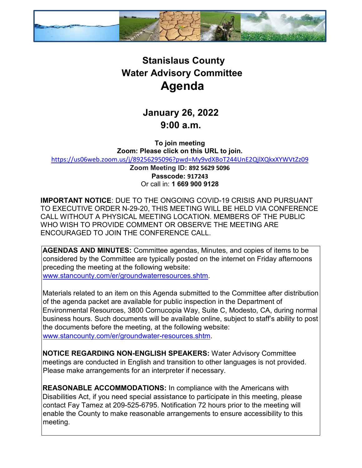

# **Stanislaus County Water Advisory Committee Agenda**

## **January 26, 2022 9:00 a.m.**

**To join meeting Zoom: Please click on this URL to join.**

<https://us06web.zoom.us/j/89256295096?pwd=My9vdXBoT244UnE2QjlXQkxXYWVtZz09>

**Zoom Meeting ID: 892 5629 5096 Passcode: 917243** Or call in: **1 669 900 9128**

**IMPORTANT NOTICE**: DUE TO THE ONGOING COVID-19 CRISIS AND PURSUANT TO EXECUTIVE ORDER N-29-20, THIS MEETING WILL BE HELD VIA CONFERENCE CALL WITHOUT A PHYSICAL MEETING LOCATION. MEMBERS OF THE PUBLIC WHO WISH TO PROVIDE COMMENT OR OBSERVE THE MEETING ARE ENCOURAGED TO JOIN THE CONFERENCE CALL.

**AGENDAS AND MINUTES:** Committee agendas, Minutes, and copies of items to be considered by the Committee are typically posted on the internet on Friday afternoons preceding the meeting at the following website: [www.stancounty.com/er/groundwaterresources.shtm.](http://www.stancounty.com/er/groundwater-resources.shtm) 

Materials related to an item on this Agenda submitted to the Committee after distribution of the agenda packet are available for public inspection in the Department of Environmental Resources, 3800 Cornucopia Way, Suite C, Modesto, CA, during normal business hours. Such documents will be available online, subject to staff's ability to post the documents before the meeting, at the following website: [www.stancounty.com/er/groundwater-resources.shtm.](http://www.stancounty.com/er/groundwater-resources.shtm) 

**NOTICE REGARDING NON-ENGLISH SPEAKERS:** Water Advisory Committee meetings are conducted in English and transition to other languages is not provided. Please make arrangements for an interpreter if necessary.

**REASONABLE ACCOMMODATIONS:** In compliance with the Americans with Disabilities Act, if you need special assistance to participate in this meeting, please contact Fay Tamez at 209-525-6795. Notification 72 hours prior to the meeting will enable the County to make reasonable arrangements to ensure accessibility to this meeting.